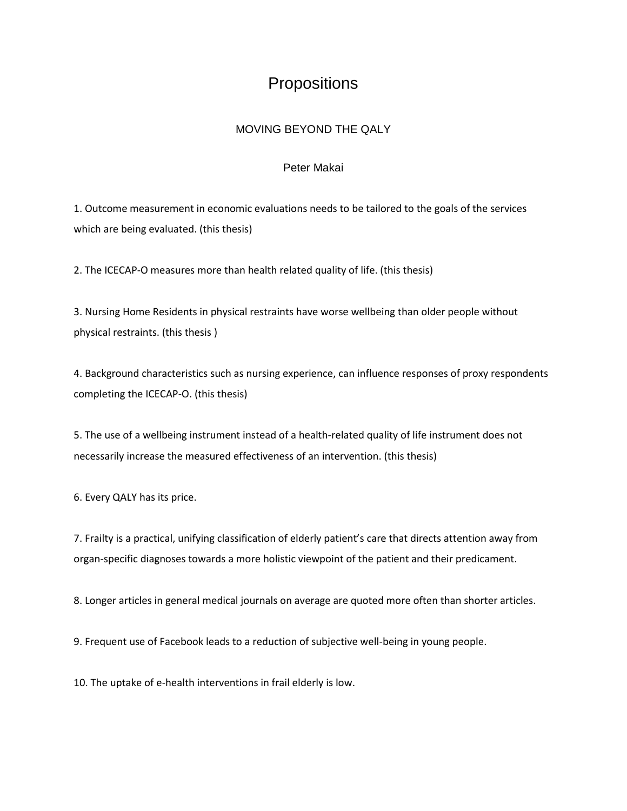## **Propositions**

## MOVING BEYOND THE QALY

## Peter Makai

1. Outcome measurement in economic evaluations needs to be tailored to the goals of the services which are being evaluated. (this thesis)

2. The ICECAP-O measures more than health related quality of life. (this thesis)

3. Nursing Home Residents in physical restraints have worse wellbeing than older people without physical restraints. (this thesis )

4. Background characteristics such as nursing experience, can influence responses of proxy respondents completing the ICECAP-O. (this thesis)

5. The use of a wellbeing instrument instead of a health-related quality of life instrument does not necessarily increase the measured effectiveness of an intervention. (this thesis)

6. Every QALY has its price.

7. Frailty is a practical, unifying classification of elderly patient's care that directs attention away from organ-specific diagnoses towards a more holistic viewpoint of the patient and their predicament.

8. Longer articles in general medical journals on average are quoted more often than shorter articles.

9. Frequent use of Facebook leads to a reduction of subjective well-being in young people.

10. The uptake of e-health interventions in frail elderly is low.